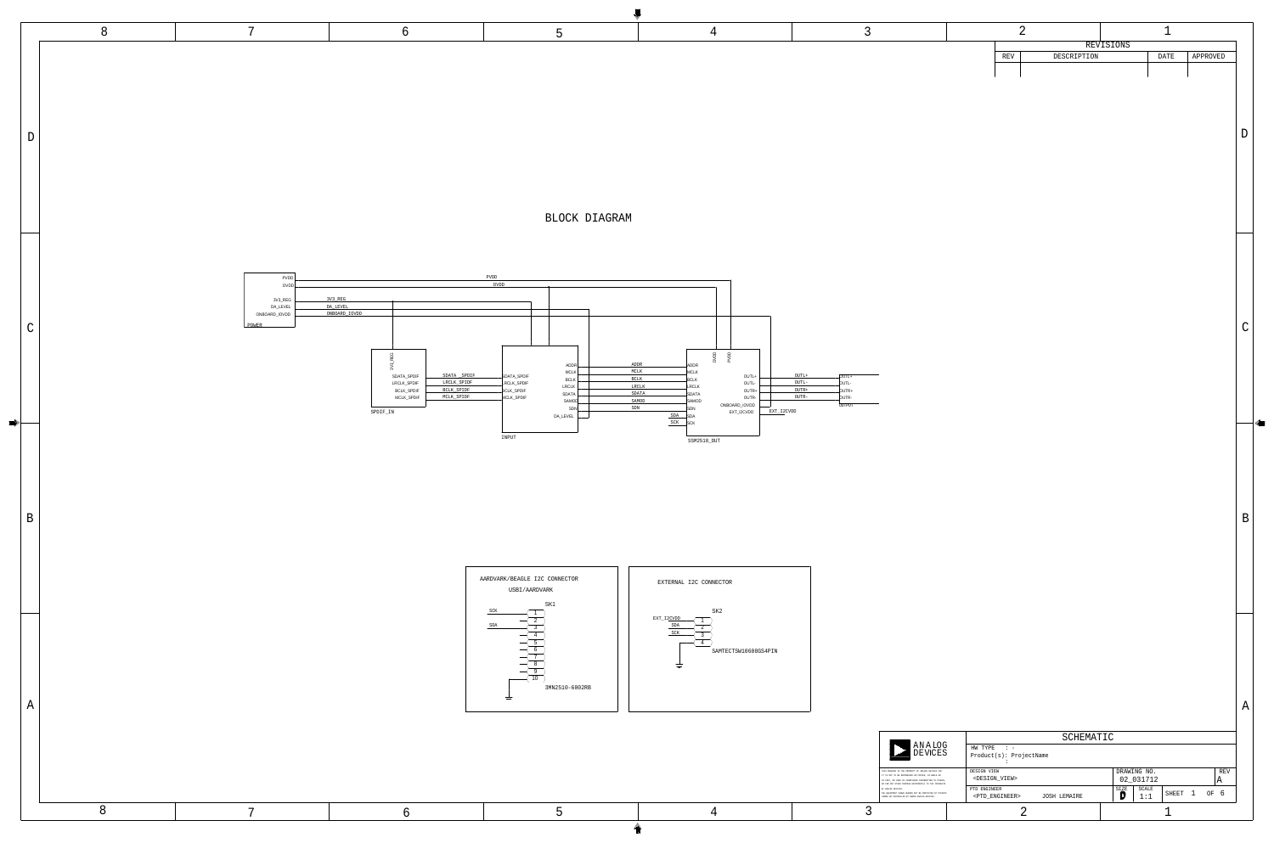JOSH LEMAIRE  $\bigcup$   $\bigcup$   $1:1$  SHEET  $1$  OF 6 <DESIGN\_VIEW> in the contract of the contract of the contract of the contract of the contract of the contract of the contract<br>Seconds and the contract of the contract of the contract of the contract of the contract of the contract of th Product(s): ProjectName  $HW$  TYPE :  $-$ 02\_031712 A <PTD\_ENGINEER> D THIS DRAWING IS THE PROPERTY OF ANALOG DEVICES INC. IN PART, OR USED IN FURNISHING INFORMATION TO OTHERS, OR FOR ANY OTHER PURPOSE DETRIMENTAL TO THE INTERESTS THE EQUIPMENT SHOWN HEREON MAY BE PROTECTED BY PATENTS OWNED OR CONTROLLED BY OWNED ANALOG DEVICES. A<br>Exi C IT IS NOT TO BE REPRODUCED OR COPIED, IN WHOLE OR DRAWING NO. 2 SCALE  $\mathbf{D}$ SIZE D REV SHEET 1 OF  $\overline{\mathsf{I}}$ LOG<br>252 E E AN<br>D VCES OF ANALOG DEVICES. SCHEMATIC PTD ENGINEER DESIGN VIEW

A



 $\le$ 

|            | REVISIONS   |      |          |
|------------|-------------|------|----------|
| <b>REV</b> | DESCRIPTION | DATE | APPROVED |
|            |             |      |          |
|            |             |      |          |

<sup>D</sup>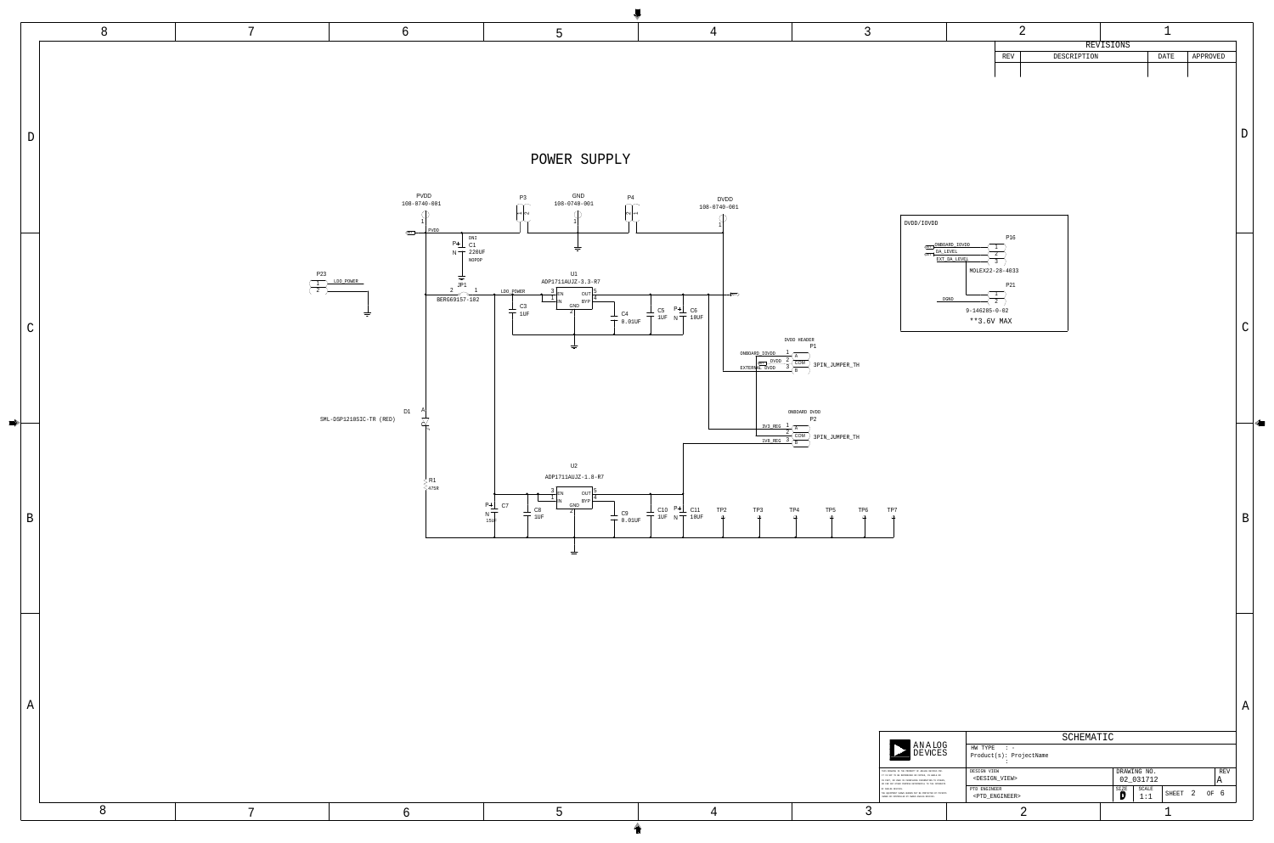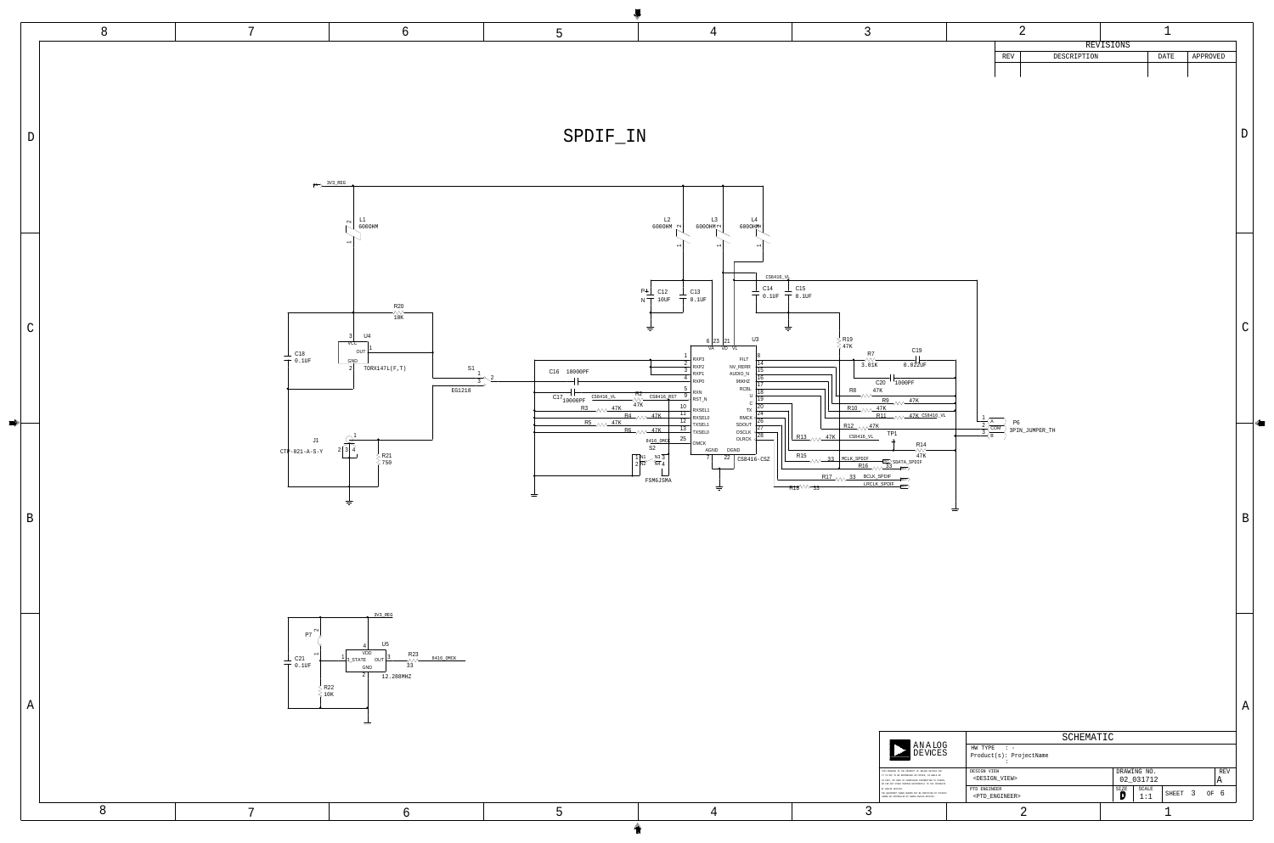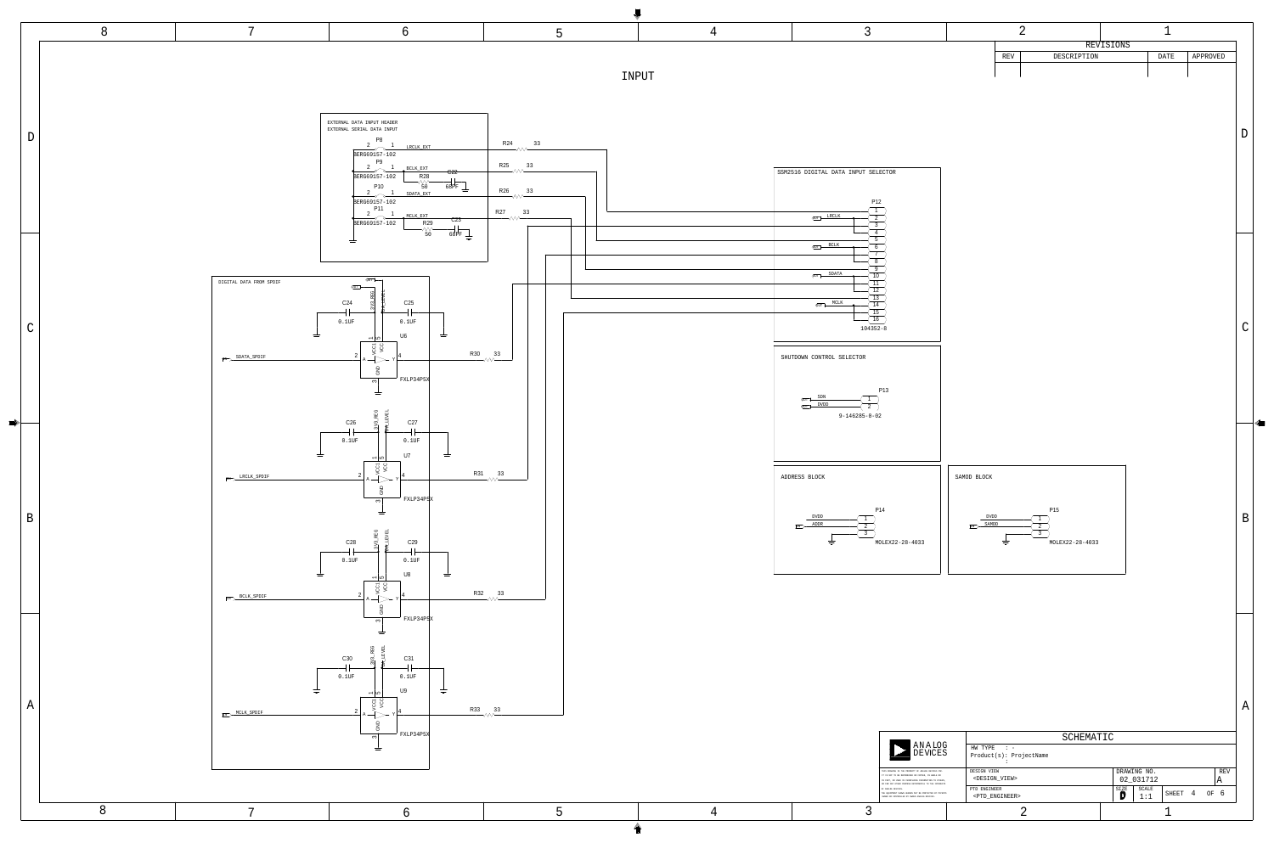

**D** 

4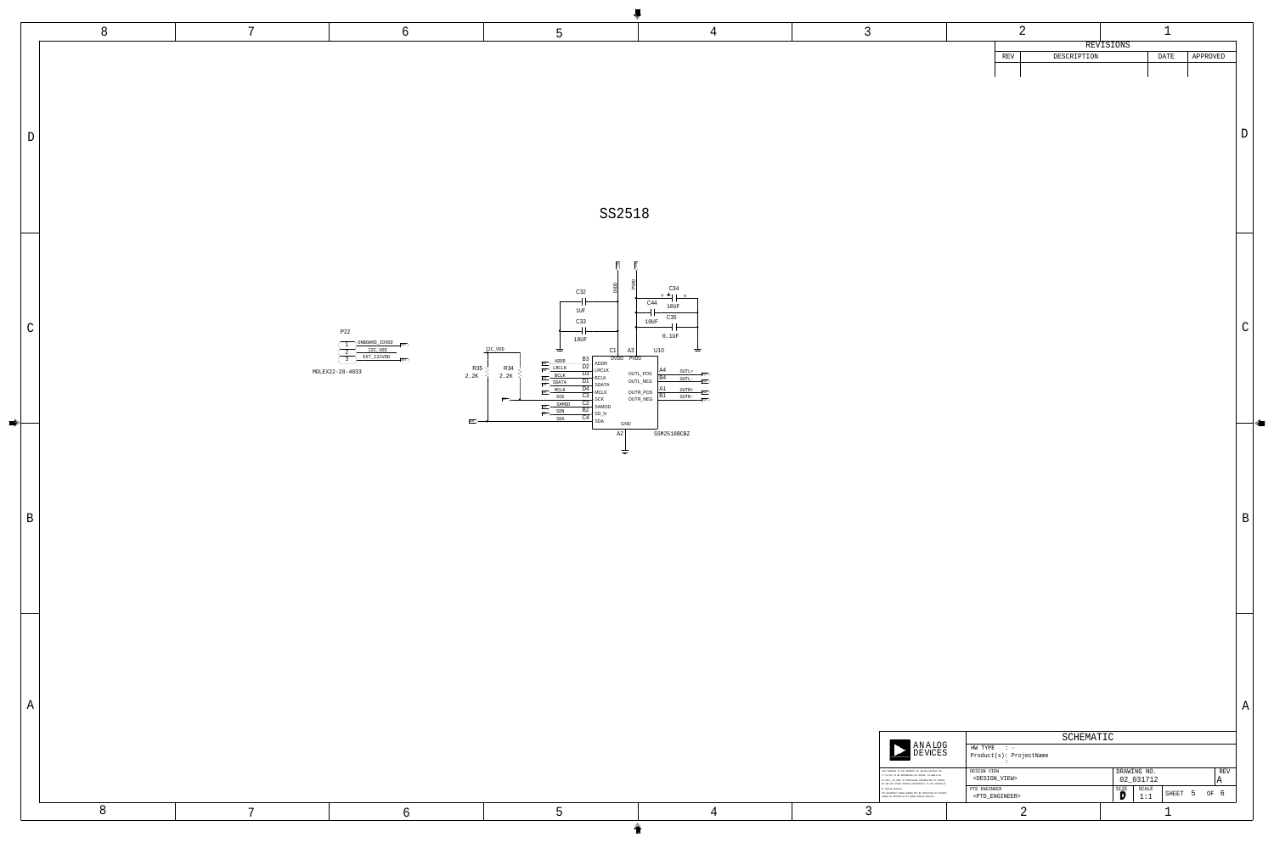## SS2518



A



D

5

 $\mid$  (  $\mid$   $\mid$ 

|                                                                                                                                                                                                                            | SCHEMATIC                                           |                                                                  |
|----------------------------------------------------------------------------------------------------------------------------------------------------------------------------------------------------------------------------|-----------------------------------------------------|------------------------------------------------------------------|
| <b>ANALOG</b><br><b>DEVICES</b>                                                                                                                                                                                            | HW TYPE<br>$\cdot$ : $-$<br>Product(s): ProjectName |                                                                  |
| THIS DRAWING IS THE PROPERTY OF ANALOG DEVICES INC.<br>IT IS NOT TO BE REPRODUCED OR COPIED, IN WHOLE OR<br>IN PART, OR USED IN FURNISHING INFORMATION TO OTHERS,<br>OR FOR ANY OTHER PURPOSE DETRIMENTAL TO THE INTERESTS | DESIGN VIEW<br><design_view></design_view>          | REV<br>DRAWING NO.<br>02 031712<br>Α                             |
| OF ANALOG DEVICES.<br>THE EQUIPMENT SHOWN HEREON MAY BE PROTECTED BY PATENTS<br>OWNED OR CONTROLLED BY OWNED ANALOG DEVICES.                                                                                               | PTD ENGINEER<br><ptd_engineer></ptd_engineer>       | SIZE<br>SCALE<br>SHEET<br>OF<br>$\mathcal{L}$<br>$\sigma$<br>1:1 |
|                                                                                                                                                                                                                            |                                                     |                                                                  |

|  | REVISIONS |     |             |  |      |          |
|--|-----------|-----|-------------|--|------|----------|
|  |           | REV | DESCRIPTION |  | DATE | APPROVED |
|  |           |     |             |  |      |          |